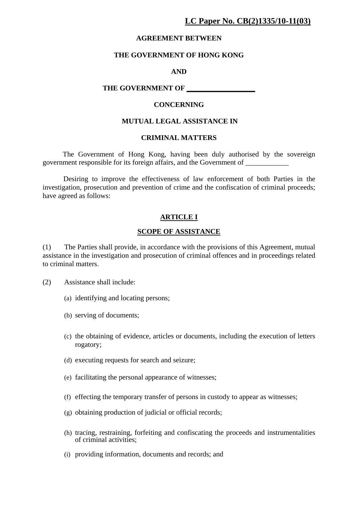# **LC Paper No. CB(2)1335/10-11(03)**

#### **AGREEMENT BETWEEN**

#### **THE GOVERNMENT OF HONG KONG**

#### **AND**

**THE GOVERNMENT OF \_\_\_\_\_\_\_\_\_\_\_\_\_\_\_\_\_\_\_**

#### **CONCERNING**

## **MUTUAL LEGAL ASSISTANCE IN**

#### **CRIMINAL MATTERS**

The Government of Hong Kong, having been duly authorised by the sovereign government responsible for its foreign affairs, and the Government of \_\_\_\_\_\_\_\_\_\_\_\_

Desiring to improve the effectiveness of law enforcement of both Parties in the investigation, prosecution and prevention of crime and the confiscation of criminal proceeds; have agreed as follows:

#### **ARTICLE I**

#### **SCOPE OF ASSISTANCE**

(1) The Parties shall provide, in accordance with the provisions of this Agreement, mutual assistance in the investigation and prosecution of criminal offences and in proceedings related to criminal matters.

- (2) Assistance shall include:
	- (a) identifying and locating persons;
	- (b) serving of documents;
	- (c) the obtaining of evidence, articles or documents, including the execution of letters rogatory;
	- (d) executing requests for search and seizure;
	- (e) facilitating the personal appearance of witnesses;
	- (f) effecting the temporary transfer of persons in custody to appear as witnesses;
	- (g) obtaining production of judicial or official records;
	- (h) tracing, restraining, forfeiting and confiscating the proceeds and instrumentalities of criminal activities;
	- (i) providing information, documents and records; and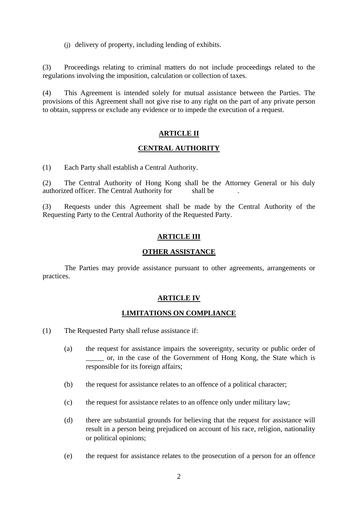(j) delivery of property, including lending of exhibits.

(3) Proceedings relating to criminal matters do not include proceedings related to the regulations involving the imposition, calculation or collection of taxes.

(4) This Agreement is intended solely for mutual assistance between the Parties. The provisions of this Agreement shall not give rise to any right on the part of any private person to obtain, suppress or exclude any evidence or to impede the execution of a request.

## **ARTICLE II**

#### **CENTRAL AUTHORITY**

(1) Each Party shall establish a Central Authority.

(2) The Central Authority of Hong Kong shall be the Attorney General or his duly authorized officer. The Central Authority for shall be .

(3) Requests under this Agreement shall be made by the Central Authority of the Requesting Party to the Central Authority of the Requested Party.

## **ARTICLE III**

#### **OTHER ASSISTANCE**

The Parties may provide assistance pursuant to other agreements, arrangements or practices.

## **ARTICLE IV**

## **LIMITATIONS ON COMPLIANCE**

- (1) The Requested Party shall refuse assistance if:
	- (a) the request for assistance impairs the sovereignty, security or public order of \_\_\_\_\_ or, in the case of the Government of Hong Kong, the State which is responsible for its foreign affairs;
	- (b) the request for assistance relates to an offence of a political character;
	- (c) the request for assistance relates to an offence only under military law;
	- (d) there are substantial grounds for believing that the request for assistance will result in a person being prejudiced on account of his race, religion, nationality or political opinions;
	- (e) the request for assistance relates to the prosecution of a person for an offence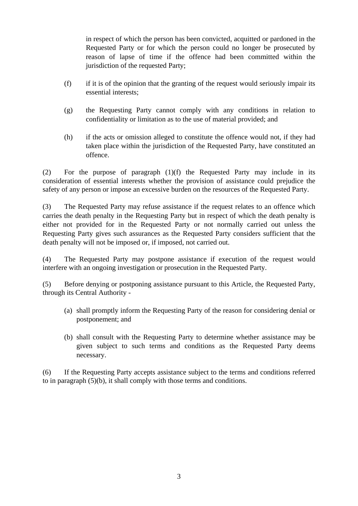in respect of which the person has been convicted, acquitted or pardoned in the Requested Party or for which the person could no longer be prosecuted by reason of lapse of time if the offence had been committed within the jurisdiction of the requested Party;

- (f) if it is of the opinion that the granting of the request would seriously impair its essential interests;
- (g) the Requesting Party cannot comply with any conditions in relation to confidentiality or limitation as to the use of material provided; and
- (h) if the acts or omission alleged to constitute the offence would not, if they had taken place within the jurisdiction of the Requested Party, have constituted an offence.

(2) For the purpose of paragraph (1)(f) the Requested Party may include in its consideration of essential interests whether the provision of assistance could prejudice the safety of any person or impose an excessive burden on the resources of the Requested Party.

(3) The Requested Party may refuse assistance if the request relates to an offence which carries the death penalty in the Requesting Party but in respect of which the death penalty is either not provided for in the Requested Party or not normally carried out unless the Requesting Party gives such assurances as the Requested Party considers sufficient that the death penalty will not be imposed or, if imposed, not carried out.

(4) The Requested Party may postpone assistance if execution of the request would interfere with an ongoing investigation or prosecution in the Requested Party.

(5) Before denying or postponing assistance pursuant to this Article, the Requested Party, through its Central Authority -

- (a) shall promptly inform the Requesting Party of the reason for considering denial or postponement; and
- (b) shall consult with the Requesting Party to determine whether assistance may be given subject to such terms and conditions as the Requested Party deems necessary.

(6) If the Requesting Party accepts assistance subject to the terms and conditions referred to in paragraph (5)(b), it shall comply with those terms and conditions.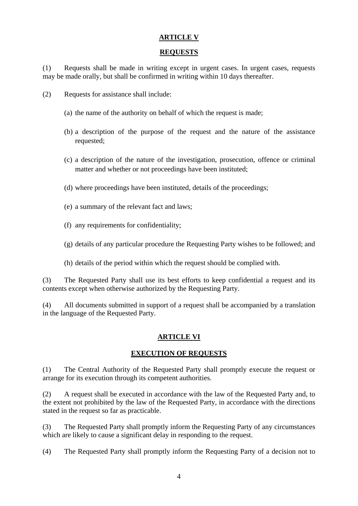# **ARTICLE V**

## **REQUESTS**

(1) Requests shall be made in writing except in urgent cases. In urgent cases, requests may be made orally, but shall be confirmed in writing within 10 days thereafter.

(2) Requests for assistance shall include:

- (a) the name of the authority on behalf of which the request is made;
- (b) a description of the purpose of the request and the nature of the assistance requested;
- (c) a description of the nature of the investigation, prosecution, offence or criminal matter and whether or not proceedings have been instituted;
- (d) where proceedings have been instituted, details of the proceedings;
- (e) a summary of the relevant fact and laws;
- (f) any requirements for confidentiality;
- (g) details of any particular procedure the Requesting Party wishes to be followed; and
- (h) details of the period within which the request should be complied with.

(3) The Requested Party shall use its best efforts to keep confidential a request and its contents except when otherwise authorized by the Requesting Party.

(4) All documents submitted in support of a request shall be accompanied by a translation in the language of the Requested Party.

# **ARTICLE VI**

# **EXECUTION OF REQUESTS**

(1) The Central Authority of the Requested Party shall promptly execute the request or arrange for its execution through its competent authorities.

(2) A request shall be executed in accordance with the law of the Requested Party and, to the extent not prohibited by the law of the Requested Party, in accordance with the directions stated in the request so far as practicable.

(3) The Requested Party shall promptly inform the Requesting Party of any circumstances which are likely to cause a significant delay in responding to the request.

(4) The Requested Party shall promptly inform the Requesting Party of a decision not to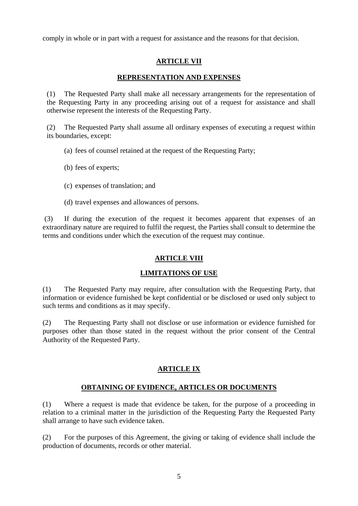comply in whole or in part with a request for assistance and the reasons for that decision.

# **ARTICLE VII**

# **REPRESENTATION AND EXPENSES**

(1) The Requested Party shall make all necessary arrangements for the representation of the Requesting Party in any proceeding arising out of a request for assistance and shall otherwise represent the interests of the Requesting Party.

(2) The Requested Party shall assume all ordinary expenses of executing a request within its boundaries, except:

- (a) fees of counsel retained at the request of the Requesting Party;
- (b) fees of experts;
- (c) expenses of translation; and
- (d) travel expenses and allowances of persons.

(3) If during the execution of the request it becomes apparent that expenses of an extraordinary nature are required to fulfil the request, the Parties shall consult to determine the terms and conditions under which the execution of the request may continue.

# **ARTICLE VIII**

# **LIMITATIONS OF USE**

(1) The Requested Party may require, after consultation with the Requesting Party, that information or evidence furnished be kept confidential or be disclosed or used only subject to such terms and conditions as it may specify.

(2) The Requesting Party shall not disclose or use information or evidence furnished for purposes other than those stated in the request without the prior consent of the Central Authority of the Requested Party.

# **ARTICLE IX**

# **OBTAINING OF EVIDENCE, ARTICLES OR DOCUMENTS**

(1) Where a request is made that evidence be taken, for the purpose of a proceeding in relation to a criminal matter in the jurisdiction of the Requesting Party the Requested Party shall arrange to have such evidence taken.

(2) For the purposes of this Agreement, the giving or taking of evidence shall include the production of documents, records or other material.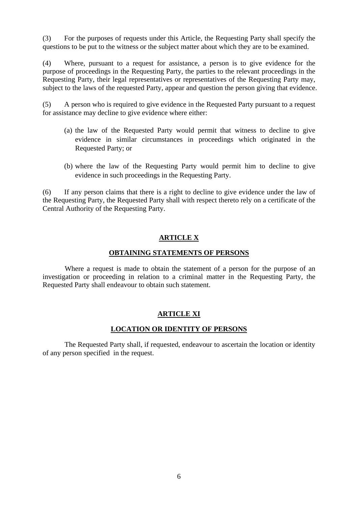(3) For the purposes of requests under this Article, the Requesting Party shall specify the questions to be put to the witness or the subject matter about which they are to be examined.

(4) Where, pursuant to a request for assistance, a person is to give evidence for the purpose of proceedings in the Requesting Party, the parties to the relevant proceedings in the Requesting Party, their legal representatives or representatives of the Requesting Party may, subject to the laws of the requested Party, appear and question the person giving that evidence.

(5) A person who is required to give evidence in the Requested Party pursuant to a request for assistance may decline to give evidence where either:

- (a) the law of the Requested Party would permit that witness to decline to give evidence in similar circumstances in proceedings which originated in the Requested Party; or
- (b) where the law of the Requesting Party would permit him to decline to give evidence in such proceedings in the Requesting Party.

(6) If any person claims that there is a right to decline to give evidence under the law of the Requesting Party, the Requested Party shall with respect thereto rely on a certificate of the Central Authority of the Requesting Party.

# **ARTICLE X**

## **OBTAINING STATEMENTS OF PERSONS**

Where a request is made to obtain the statement of a person for the purpose of an investigation or proceeding in relation to a criminal matter in the Requesting Party, the Requested Party shall endeavour to obtain such statement.

# **ARTICLE XI**

# **LOCATION OR IDENTITY OF PERSONS**

The Requested Party shall, if requested, endeavour to ascertain the location or identity of any person specified in the request.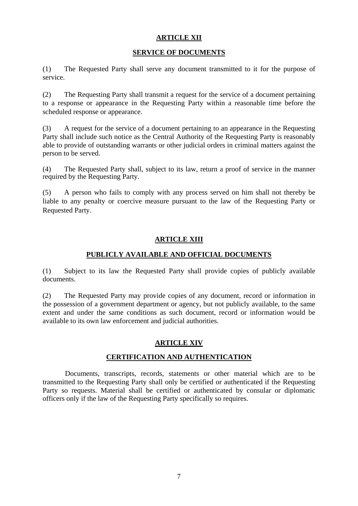# **ARTICLE XII**

## **SERVICE OF DOCUMENTS**

(1) The Requested Party shall serve any document transmitted to it for the purpose of service.

(2) The Requesting Party shall transmit a request for the service of a document pertaining to a response or appearance in the Requesting Party within a reasonable time before the scheduled response or appearance.

(3) A request for the service of a document pertaining to an appearance in the Requesting Party shall include such notice as the Central Authority of the Requesting Party is reasonably able to provide of outstanding warrants or other judicial orders in criminal matters against the person to be served.

(4) The Requested Party shall, subject to its law, return a proof of service in the manner required by the Requesting Party.

(5) A person who fails to comply with any process served on him shall not thereby be liable to any penalty or coercive measure pursuant to the law of the Requesting Party or Requested Party.

## **ARTICLE XIII**

# **PUBLICLY AVAILABLE AND OFFICIAL DOCUMENTS**

(1) Subject to its law the Requested Party shall provide copies of publicly available documents.

(2) The Requested Party may provide copies of any document, record or information in the possession of a government department or agency, but not publicly available, to the same extent and under the same conditions as such document, record or information would be available to its own law enforcement and judicial authorities.

# **ARTICLE XIV**

## **CERTIFICATION AND AUTHENTICATION**

Documents, transcripts, records, statements or other material which are to be transmitted to the Requesting Party shall only be certified or authenticated if the Requesting Party so requests. Material shall be certified or authenticated by consular or diplomatic officers only if the law of the Requesting Party specifically so requires.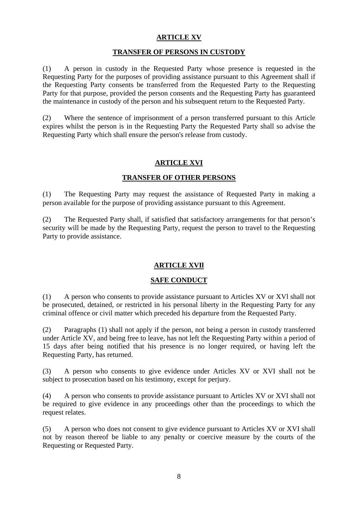# **ARTICLE XV**

## **TRANSFER OF PERSONS IN CUSTODY**

(1) A person in custody in the Requested Party whose presence is requested in the Requesting Party for the purposes of providing assistance pursuant to this Agreement shall if the Requesting Party consents be transferred from the Requested Party to the Requesting Party for that purpose, provided the person consents and the Requesting Party has guaranteed the maintenance in custody of the person and his subsequent return to the Requested Party.

(2) Where the sentence of imprisonment of a person transferred pursuant to this Article expires whilst the person is in the Requesting Party the Requested Party shall so advise the Requesting Party which shall ensure the person's release from custody.

## **ARTICLE XVI**

## **TRANSFER OF OTHER PERSONS**

(1) The Requesting Party may request the assistance of Requested Party in making a person available for the purpose of providing assistance pursuant to this Agreement.

(2) The Requested Party shall, if satisfied that satisfactory arrangements for that person's security will be made by the Requesting Party, request the person to travel to the Requesting Party to provide assistance.

# **ARTICLE XVIl**

## **SAFE CONDUCT**

(1) A person who consents to provide assistance pursuant to Articles XV or XVl shall not be prosecuted, detained, or restricted in his personal liberty in the Requesting Party for any criminal offence or civil matter which preceded his departure from the Requested Party.

(2) Paragraphs (1) shall not apply if the person, not being a person in custody transferred under Article XV, and being free to leave, has not left the Requesting Party within a period of 15 days after being notified that his presence is no longer required, or having left the Requesting Party, has returned.

(3) A person who consents to give evidence under Articles XV or XVI shall not be subject to prosecution based on his testimony, except for perjury.

(4) A person who consents to provide assistance pursuant to Articles XV or XVI shall not be required to give evidence in any proceedings other than the proceedings to which the request relates.

(5) A person who does not consent to give evidence pursuant to Articles XV or XVI shall not by reason thereof be liable to any penalty or coercive measure by the courts of the Requesting or Requested Party.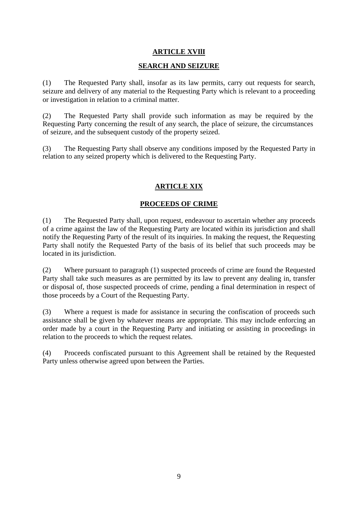# **ARTICLE XVIlI**

## **SEARCH AND SEIZURE**

(1) The Requested Party shall, insofar as its law permits, carry out requests for search, seizure and delivery of any material to the Requesting Party which is relevant to a proceeding or investigation in relation to a criminal matter.

(2) The Requested Party shall provide such information as may be required by the Requesting Party concerning the result of any search, the place of seizure, the circumstances of seizure, and the subsequent custody of the property seized.

(3) The Requesting Party shall observe any conditions imposed by the Requested Party in relation to any seized property which is delivered to the Requesting Party.

# **ARTICLE XIX**

## **PROCEEDS OF CRIME**

(1) The Requested Party shall, upon request, endeavour to ascertain whether any proceeds of a crime against the law of the Requesting Party are located within its jurisdiction and shall notify the Requesting Party of the result of its inquiries. In making the request, the Requesting Party shall notify the Requested Party of the basis of its belief that such proceeds may be located in its jurisdiction.

(2) Where pursuant to paragraph (1) suspected proceeds of crime are found the Requested Party shall take such measures as are permitted by its law to prevent any dealing in, transfer or disposal of, those suspected proceeds of crime, pending a final determination in respect of those proceeds by a Court of the Requesting Party.

(3) Where a request is made for assistance in securing the confiscation of proceeds such assistance shall be given by whatever means are appropriate. This may include enforcing an order made by a court in the Requesting Party and initiating or assisting in proceedings in relation to the proceeds to which the request relates.

(4) Proceeds confiscated pursuant to this Agreement shall be retained by the Requested Party unless otherwise agreed upon between the Parties.